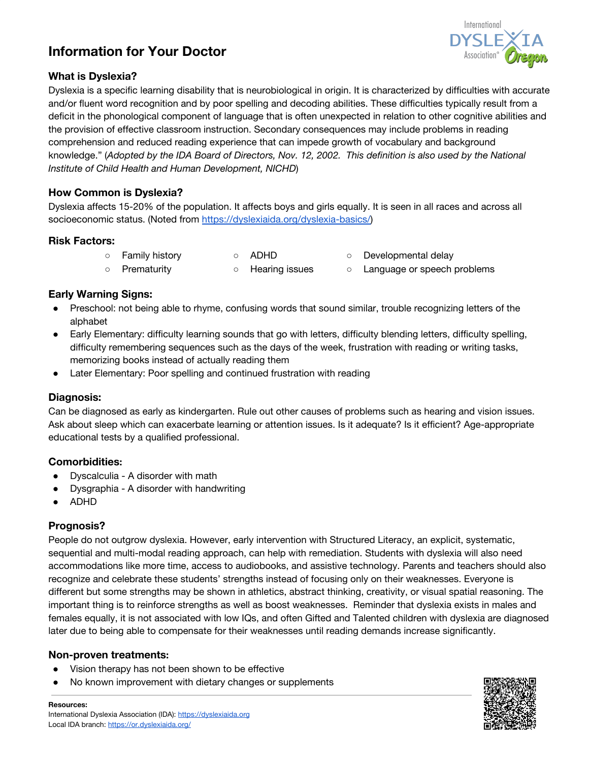

# **Information for Your Doctor**

### **What is Dyslexia?**

Dyslexia is a specific learning disability that is neurobiological in origin. It is characterized by difficulties with accurate and/or fluent word recognition and by poor spelling and decoding abilities. These difficulties typically result from a deficit in the phonological component of language that is often unexpected in relation to other cognitive abilities and the provision of effective classroom instruction. Secondary consequences may include problems in reading comprehension and reduced reading experience that can impede growth of vocabulary and background knowledge." (Adopted by the IDA Board of Directors, Nov. 12, 2002. This definition is also used by the National *Institute of Child Health and Human Development, NICHD*)

#### **How Common is Dyslexia?**

Dyslexia affects 15-20% of the population. It affects boys and girls equally. It is seen in all races and across all socioeconomic status. (Noted from [https://dyslexiaida.org/dyslexia-basics/\)](https://dyslexiaida.org/dyslexia-basics/)

#### **Risk Factors:**

- Family history ○ ADHD Developmental delay
- 
- Prematurity △ Hearing issues △ Language or speech problems

### **Early Warning Signs:**

- Preschool: not being able to rhyme, confusing words that sound similar, trouble recognizing letters of the alphabet
- Early Elementary: difficulty learning sounds that go with letters, difficulty blending letters, difficulty spelling, difficulty remembering sequences such as the days of the week, frustration with reading or writing tasks, memorizing books instead of actually reading them
- Later Elementary: Poor spelling and continued frustration with reading

#### **Diagnosis:**

Can be diagnosed as early as kindergarten. Rule out other causes of problems such as hearing and vision issues. Ask about sleep which can exacerbate learning or attention issues. Is it adequate? Is it efficient? Age-appropriate educational tests by a qualified professional.

#### **Comorbidities:**

- Dyscalculia A disorder with math
- Dysgraphia A disorder with handwriting
- ADHD

## **Prognosis?**

People do not outgrow dyslexia. However, early intervention with Structured Literacy, an explicit, systematic, sequential and multi-modal reading approach, can help with remediation. Students with dyslexia will also need accommodations like more time, access to audiobooks, and assistive technology. Parents and teachers should also recognize and celebrate these students' strengths instead of focusing only on their weaknesses. Everyone is different but some strengths may be shown in athletics, abstract thinking, creativity, or visual spatial reasoning. The important thing is to reinforce strengths as well as boost weaknesses. Reminder that dyslexia exists in males and females equally, it is not associated with low IQs, and often Gifted and Talented children with dyslexia are diagnosed later due to being able to compensate for their weaknesses until reading demands increase significantly.

#### **Non-proven treatments:**

- Vision therapy has not been shown to be effective
- No known improvement with dietary changes or supplements